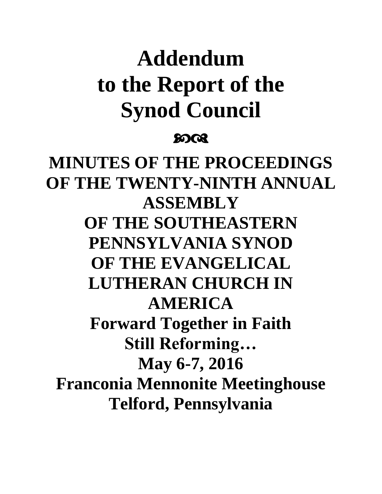# **Addendum to the Report of the Synod Council**

## ෨෬

**MINUTES OF THE PROCEEDINGS OF THE TWENTY-NINTH ANNUAL ASSEMBLY OF THE SOUTHEASTERN PENNSYLVANIA SYNOD OF THE EVANGELICAL LUTHERAN CHURCH IN AMERICA Forward Together in Faith Still Reforming… May 6-7, 2016 Franconia Mennonite Meetinghouse Telford, Pennsylvania**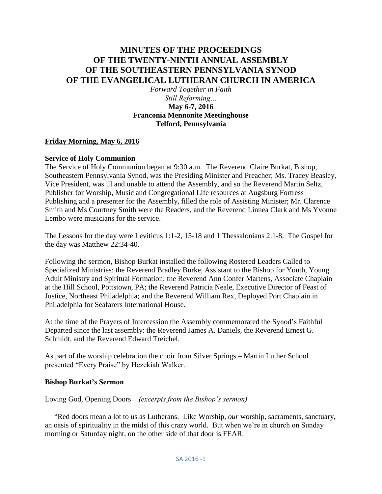## **MINUTES OF THE PROCEEDINGS OF THE TWENTY-NINTH ANNUAL ASSEMBLY OF THE SOUTHEASTERN PENNSYLVANIA SYNOD OF THE EVANGELICAL LUTHERAN CHURCH IN AMERICA**

*Forward Together in Faith Still Reforming…* **May 6-7, 2016 Franconia Mennonite Meetinghouse Telford, Pennsylvania**

#### **Friday Morning, May 6, 2016**

#### **Service of Holy Communion**

The Service of Holy Communion began at 9:30 a.m. The Reverend Claire Burkat, Bishop, Southeastern Pennsylvania Synod, was the Presiding Minister and Preacher; Ms. Tracey Beasley, Vice President, was ill and unable to attend the Assembly, and so the Reverend Martin Seltz, Publisher for Worship, Music and Congregational Life resources at Augsburg Fortress Publishing and a presenter for the Assembly, filled the role of Assisting Minister; Mr. Clarence Smith and Ms Courtney Smith were the Readers, and the Reverend Linnea Clark and Ms Yvonne Lembo were musicians for the service.

The Lessons for the day were Leviticus 1:1-2, 15-18 and 1 Thessalonians 2:1-8. The Gospel for the day was Matthew 22:34-40.

Following the sermon, Bishop Burkat installed the following Rostered Leaders Called to Specialized Ministries: the Reverend Bradley Burke, Assistant to the Bishop for Youth, Young Adult Ministry and Spiritual Formation; the Reverend Ann Confer Martens, Associate Chaplain at the Hill School, Pottstown, PA; the Reverend Patricia Neale, Executive Director of Feast of Justice, Northeast Philadelphia; and the Reverend William Rex, Deployed Port Chaplain in Philadelphia for Seafarers International House.

At the time of the Prayers of Intercession the Assembly commemorated the Synod's Faithful Departed since the last assembly: the Reverend James A. Daniels, the Reverend Ernest G. Schmidt, and the Reverend Edward Treichel.

As part of the worship celebration the choir from Silver Springs – Martin Luther School presented "Every Praise" by Hezekiah Walker.

#### **Bishop Burkat's Sermon**

Loving God, Opening Doors *(excerpts from the Bishop's sermon)*

 "Red doors mean a lot to us as Lutherans. Like Worship, *our* worship, sacraments, sanctuary, an oasis of spirituality in the midst of this crazy world. But when we're in church on Sunday morning or Saturday night, on the other side of that door is FEAR.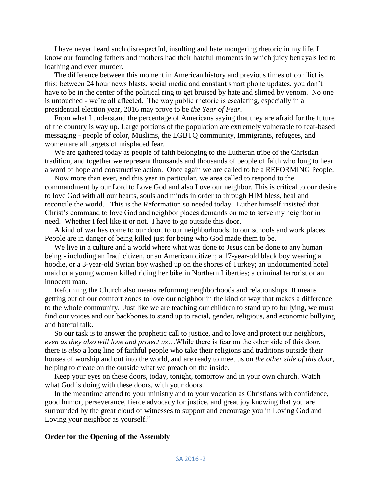I have never heard such disrespectful, insulting and hate mongering rhetoric in my life. I know our founding fathers and mothers had their hateful moments in which juicy betrayals led to loathing and even murder.

 The difference between this moment in American history and previous times of conflict is this: between 24 hour news blasts, social media and constant smart phone updates, you don't have to be in the center of the political ring to get bruised by hate and slimed by venom. No one is untouched - we're all affected. The way public rhetoric is escalating, especially in a presidential election year, 2016 may prove to be *the Year of Fear.*

 From what I understand the percentage of Americans saying that they are afraid for the future of the country is way up. Large portions of the population are extremely vulnerable to fear-based messaging - people of color, Muslims, the LGBTQ community, Immigrants, refugees, and women are all targets of misplaced fear.

 We are gathered today as people of faith belonging to the Lutheran tribe of the Christian tradition, and together we represent thousands and thousands of people of faith who long to hear a word of hope and constructive action. Once again we are called to be a REFORMING People.

 Now more than ever, and this year in particular, we area called to respond to the commandment by our Lord to Love God and also Love our neighbor. This is critical to our desire to love God with all our hearts, souls and minds in order to through HIM bless, heal and reconcile the world. This is the Reformation so needed today. Luther himself insisted that Christ's command to love God and neighbor places demands on me to serve my neighbor in need. Whether I feel like it or not. I have to go outside this door.

 A kind of war has come to our door, to our neighborhoods, to our schools and work places. People are in danger of being killed just for being who God made them to be.

 We live in a culture and a world where what was done to Jesus can be done to any human being - including an Iraqi citizen, or an American citizen; a 17-year-old black boy wearing a hoodie, or a 3-year-old Syrian boy washed up on the shores of Turkey; an undocumented hotel maid or a young woman killed riding her bike in Northern Liberties; a criminal terrorist or an innocent man.

 Reforming the Church also means reforming neighborhoods and relationships. It means getting out of our comfort zones to love our neighbor in the kind of way that makes a difference to the whole community. Just like we are teaching our children to stand up to bullying, we must find our voices and our backbones to stand up to racial, gender, religious, and economic bullying and hateful talk.

 So our task is to answer the prophetic call to justice, and to love and protect our neighbors, *even as they also will love and protect us*…While there is fear on the other side of this door, there is *also* a long line of faithful people who take their religions and traditions outside their houses of worship and out into the world, and are ready to meet us on *the other side of this door*, helping to create on the outside what we preach on the inside.

 Keep your eyes on these doors, today, tonight, tomorrow and in your own church. Watch what God is doing with these doors, with your doors.

 In the meantime attend to your ministry and to your vocation as Christians with confidence, good humor, perseverance, fierce advocacy for justice, and great joy knowing that you are surrounded by the great cloud of witnesses to support and encourage you in Loving God and Loving your neighbor as yourself."

#### **Order for the Opening of the Assembly**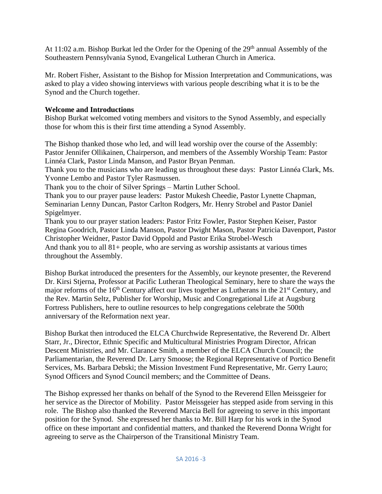At 11:02 a.m. Bishop Burkat led the Order for the Opening of the 29<sup>th</sup> annual Assembly of the Southeastern Pennsylvania Synod, Evangelical Lutheran Church in America.

Mr. Robert Fisher, Assistant to the Bishop for Mission Interpretation and Communications, was asked to play a video showing interviews with various people describing what it is to be the Synod and the Church together.

## **Welcome and Introductions**

Bishop Burkat welcomed voting members and visitors to the Synod Assembly, and especially those for whom this is their first time attending a Synod Assembly.

The Bishop thanked those who led, and will lead worship over the course of the Assembly: Pastor Jennifer Ollikainen, Chairperson, and members of the Assembly Worship Team: Pastor Linnéa Clark, Pastor Linda Manson, and Pastor Bryan Penman.

Thank you to the musicians who are leading us throughout these days: Pastor Linnéa Clark, Ms. Yvonne Lembo and Pastor Tyler Rasmussen.

Thank you to the choir of Silver Springs – Martin Luther School.

Thank you to our prayer pause leaders: Pastor Mukesh Cheedie, Pastor Lynette Chapman, Seminarian Lenny Duncan, Pastor Carlton Rodgers, Mr. Henry Strobel and Pastor Daniel Spigelmyer.

Thank you to our prayer station leaders: Pastor Fritz Fowler, Pastor Stephen Keiser, Pastor Regina Goodrich, Pastor Linda Manson, Pastor Dwight Mason, Pastor Patricia Davenport, Pastor Christopher Weidner, Pastor David Oppold and Pastor Erika Strobel-Wesch And thank you to all 81+ people, who are serving as worship assistants at various times throughout the Assembly.

Bishop Burkat introduced the presenters for the Assembly, our keynote presenter, the Reverend Dr. Kirsi Stjerna, Professor at Pacific Lutheran Theological Seminary, here to share the ways the major reforms of the  $16<sup>th</sup>$  Century affect our lives together as Lutherans in the  $21<sup>st</sup>$  Century, and the Rev. Martin Seltz, Publisher for Worship, Music and Congregational Life at Augsburg Fortress Publishers, here to outline resources to help congregations celebrate the 500th anniversary of the Reformation next year.

Bishop Burkat then introduced the ELCA Churchwide Representative, the Reverend Dr. Albert Starr, Jr., Director, Ethnic Specific and Multicultural Ministries Program Director, African Descent Ministries, and Mr. Clarance Smith, a member of the ELCA Church Council; the Parliamentarian, the Reverend Dr. Larry Smoose; the Regional Representative of Portico Benefit Services, Ms. Barbara Debski; the Mission Investment Fund Representative, Mr. Gerry Lauro; Synod Officers and Synod Council members; and the Committee of Deans.

The Bishop expressed her thanks on behalf of the Synod to the Reverend Ellen Meissgeier for her service as the Director of Mobility. Pastor Meissgeier has stepped aside from serving in this role. The Bishop also thanked the Reverend Marcia Bell for agreeing to serve in this important position for the Synod. She expressed her thanks to Mr. Bill Harp for his work in the Synod office on these important and confidential matters, and thanked the Reverend Donna Wright for agreeing to serve as the Chairperson of the Transitional Ministry Team.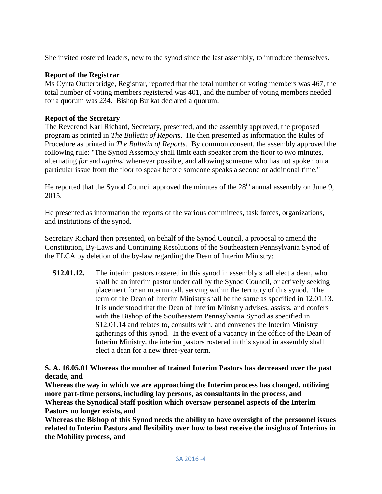She invited rostered leaders, new to the synod since the last assembly, to introduce themselves.

#### **Report of the Registrar**

Ms Cynta Outterbridge, Registrar, reported that the total number of voting members was 467, the total number of voting members registered was 401, and the number of voting members needed for a quorum was 234. Bishop Burkat declared a quorum.

#### **Report of the Secretary**

The Reverend Karl Richard, Secretary, presented, and the assembly approved, the proposed program as printed in *The Bulletin of Reports*. He then presented as information the Rules of Procedure as printed in *The Bulletin of Reports.* By common consent, the assembly approved the following rule: "The Synod Assembly shall limit each speaker from the floor to two minutes, alternating *for* and *against* whenever possible, and allowing someone who has not spoken on a particular issue from the floor to speak before someone speaks a second or additional time."

He reported that the Synod Council approved the minutes of the  $28<sup>th</sup>$  annual assembly on June 9, 2015.

He presented as information the reports of the various committees, task forces, organizations, and institutions of the synod.

Secretary Richard then presented, on behalf of the Synod Council, a proposal to amend the Constitution, By-Laws and Continuing Resolutions of the Southeastern Pennsylvania Synod of the ELCA by deletion of the by-law regarding the Dean of Interim Ministry:

**S12.01.12.** The interim pastors rostered in this synod in assembly shall elect a dean, who shall be an interim pastor under call by the Synod Council, or actively seeking placement for an interim call, serving within the territory of this synod. The term of the Dean of Interim Ministry shall be the same as specified in 12.01.13. It is understood that the Dean of Interim Ministry advises, assists, and confers with the Bishop of the Southeastern Pennsylvania Synod as specified in S12.01.14 and relates to, consults with, and convenes the Interim Ministry gatherings of this synod. In the event of a vacancy in the office of the Dean of Interim Ministry, the interim pastors rostered in this synod in assembly shall elect a dean for a new three-year term.

**S. A. 16.05.01 Whereas the number of trained Interim Pastors has decreased over the past decade, and** 

**Whereas the way in which we are approaching the Interim process has changed, utilizing more part-time persons, including lay persons, as consultants in the process, and Whereas the Synodical Staff position which oversaw personnel aspects of the Interim Pastors no longer exists, and** 

**Whereas the Bishop of this Synod needs the ability to have oversight of the personnel issues related to Interim Pastors and flexibility over how to best receive the insights of Interims in the Mobility process, and**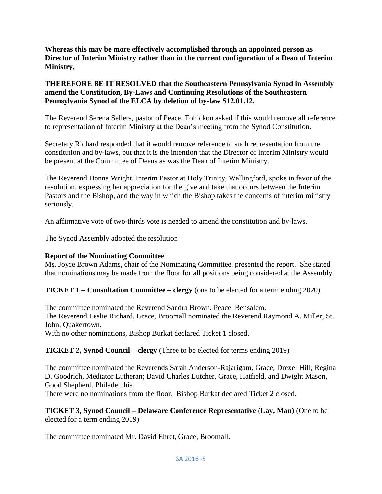**Whereas this may be more effectively accomplished through an appointed person as Director of Interim Ministry rather than in the current configuration of a Dean of Interim Ministry,**

#### **THEREFORE BE IT RESOLVED that the Southeastern Pennsylvania Synod in Assembly amend the Constitution, By-Laws and Continuing Resolutions of the Southeastern Pennsylvania Synod of the ELCA by deletion of by-law S12.01.12.**

The Reverend Serena Sellers, pastor of Peace, Tohickon asked if this would remove all reference to representation of Interim Ministry at the Dean's meeting from the Synod Constitution.

Secretary Richard responded that it would remove reference to such representation from the constitution and by-laws, but that it is the intention that the Director of Interim Ministry would be present at the Committee of Deans as was the Dean of Interim Ministry.

The Reverend Donna Wright, Interim Pastor at Holy Trinity, Wallingford, spoke in favor of the resolution, expressing her appreciation for the give and take that occurs between the Interim Pastors and the Bishop, and the way in which the Bishop takes the concerns of interim ministry seriously.

An affirmative vote of two-thirds vote is needed to amend the constitution and by-laws.

## The Synod Assembly adopted the resolution

## **Report of the Nominating Committee**

Ms. Joyce Brown Adams, chair of the Nominating Committee, presented the report. She stated that nominations may be made from the floor for all positions being considered at the Assembly.

## **TICKET 1 – Consultation Committee – clergy** (one to be elected for a term ending 2020)

The committee nominated the Reverend Sandra Brown, Peace, Bensalem. The Reverend Leslie Richard, Grace, Broomall nominated the Reverend Raymond A. Miller, St. John, Quakertown.

With no other nominations, Bishop Burkat declared Ticket 1 closed.

## **TICKET 2, Synod Council – clergy** (Three to be elected for terms ending 2019)

The committee nominated the Reverends Sarah Anderson-Rajarigam, Grace, Drexel Hill; Regina D. Goodrich, Mediator Lutheran; David Charles Lutcher, Grace, Hatfield, and Dwight Mason, Good Shepherd, Philadelphia.

There were no nominations from the floor. Bishop Burkat declared Ticket 2 closed.

## **TICKET 3, Synod Council – Delaware Conference Representative (Lay, Man)** (One to be elected for a term ending 2019)

The committee nominated Mr. David Ehret, Grace, Broomall.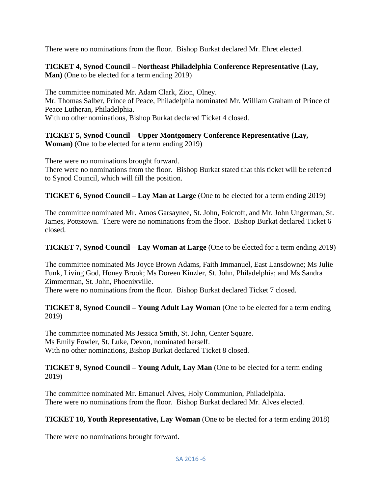There were no nominations from the floor. Bishop Burkat declared Mr. Ehret elected.

**TICKET 4, Synod Council – Northeast Philadelphia Conference Representative (Lay, Man)** (One to be elected for a term ending 2019)

The committee nominated Mr. Adam Clark, Zion, Olney. Mr. Thomas Salber, Prince of Peace, Philadelphia nominated Mr. William Graham of Prince of Peace Lutheran, Philadelphia. With no other nominations, Bishop Burkat declared Ticket 4 closed.

**TICKET 5, Synod Council – Upper Montgomery Conference Representative (Lay, Woman)** (One to be elected for a term ending 2019)

There were no nominations brought forward. There were no nominations from the floor. Bishop Burkat stated that this ticket will be referred to Synod Council, which will fill the position.

**TICKET 6, Synod Council – Lay Man at Large** (One to be elected for a term ending 2019)

The committee nominated Mr. Amos Garsaynee, St. John, Folcroft, and Mr. John Ungerman, St. James, Pottstown. There were no nominations from the floor. Bishop Burkat declared Ticket 6 closed.

**TICKET 7, Synod Council – Lay Woman at Large** (One to be elected for a term ending 2019)

The committee nominated Ms Joyce Brown Adams, Faith Immanuel, East Lansdowne; Ms Julie Funk, Living God, Honey Brook; Ms Doreen Kinzler, St. John, Philadelphia; and Ms Sandra Zimmerman, St. John, Phoenixville.

There were no nominations from the floor. Bishop Burkat declared Ticket 7 closed.

#### **TICKET 8, Synod Council – Young Adult Lay Woman** (One to be elected for a term ending 2019)

The committee nominated Ms Jessica Smith, St. John, Center Square. Ms Emily Fowler, St. Luke, Devon, nominated herself. With no other nominations, Bishop Burkat declared Ticket 8 closed.

#### **TICKET 9, Synod Council – Young Adult, Lay Man** (One to be elected for a term ending 2019)

The committee nominated Mr. Emanuel Alves, Holy Communion, Philadelphia. There were no nominations from the floor. Bishop Burkat declared Mr. Alves elected.

#### **TICKET 10, Youth Representative, Lay Woman** (One to be elected for a term ending 2018)

There were no nominations brought forward.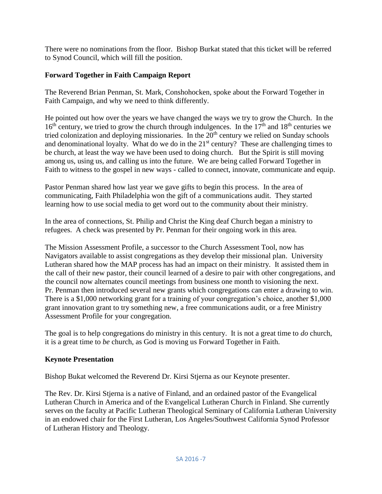There were no nominations from the floor. Bishop Burkat stated that this ticket will be referred to Synod Council, which will fill the position.

## **Forward Together in Faith Campaign Report**

The Reverend Brian Penman, St. Mark, Conshohocken, spoke about the Forward Together in Faith Campaign, and why we need to think differently.

He pointed out how over the years we have changed the ways we try to grow the Church. In the  $16<sup>th</sup>$  century, we tried to grow the church through indulgences. In the  $17<sup>th</sup>$  and  $18<sup>th</sup>$  centuries we tried colonization and deploying missionaries. In the  $20<sup>th</sup>$  century we relied on Sunday schools and denominational loyalty. What do we do in the  $21<sup>st</sup>$  century? These are challenging times to be church, at least the way we have been used to doing church. But the Spirit is still moving among us, using us, and calling us into the future. We are being called Forward Together in Faith to witness to the gospel in new ways - called to connect, innovate, communicate and equip.

Pastor Penman shared how last year we gave gifts to begin this process. In the area of communicating, Faith Philadelphia won the gift of a communications audit. They started learning how to use social media to get word out to the community about their ministry.

In the area of connections, St. Philip and Christ the King deaf Church began a ministry to refugees. A check was presented by Pr. Penman for their ongoing work in this area.

The Mission Assessment Profile, a successor to the Church Assessment Tool, now has Navigators available to assist congregations as they develop their missional plan. University Lutheran shared how the MAP process has had an impact on their ministry. It assisted them in the call of their new pastor, their council learned of a desire to pair with other congregations, and the council now alternates council meetings from business one month to visioning the next. Pr. Penman then introduced several new grants which congregations can enter a drawing to win. There is a \$1,000 networking grant for a training of your congregation's choice, another \$1,000 grant innovation grant to try something new, a free communications audit, or a free Ministry Assessment Profile for your congregation.

The goal is to help congregations do ministry in this century. It is not a great time to *do* church, it is a great time to *be* church, as God is moving us Forward Together in Faith.

## **Keynote Presentation**

Bishop Bukat welcomed the Reverend Dr. Kirsi Stjerna as our Keynote presenter.

The Rev. Dr. Kirsi Stjerna is a native of Finland, and an ordained pastor of the Evangelical Lutheran Church in America and of the Evangelical Lutheran Church in Finland. She currently serves on the faculty at Pacific Lutheran Theological Seminary of California Lutheran University in an endowed chair for the First Lutheran, Los Angeles/Southwest California Synod Professor of Lutheran History and Theology.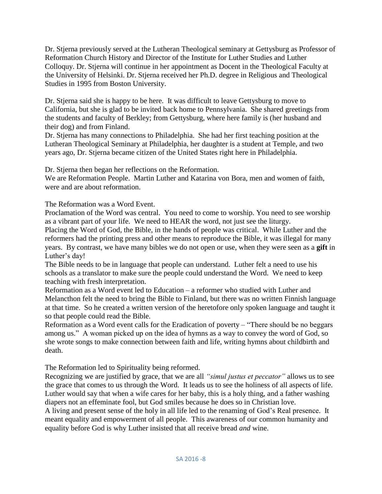Dr. Stjerna previously served at the Lutheran Theological seminary at Gettysburg as Professor of Reformation Church History and Director of the Institute for Luther Studies and Luther Colloquy. Dr. Stjerna will continue in her appointment as Docent in the Theological Faculty at the University of Helsinki. Dr. Stjerna received her Ph.D. degree in Religious and Theological Studies in 1995 from Boston University.

Dr. Stjerna said she is happy to be here. It was difficult to leave Gettysburg to move to California, but she is glad to be invited back home to Pennsylvania. She shared greetings from the students and faculty of Berkley; from Gettysburg, where here family is (her husband and their dog) and from Finland.

Dr. Stjerna has many connections to Philadelphia. She had her first teaching position at the Lutheran Theological Seminary at Philadelphia, her daughter is a student at Temple, and two years ago, Dr. Stjerna became citizen of the United States right here in Philadelphia.

Dr. Stjerna then began her reflections on the Reformation.

We are Reformation People. Martin Luther and Katarina von Bora, men and women of faith, were and are about reformation.

The Reformation was a Word Event.

Proclamation of the Word was central. You need to come to worship. You need to see worship as a vibrant part of your life. We need to HEAR the word, not just see the liturgy.

Placing the Word of God, the Bible, in the hands of people was critical. While Luther and the reformers had the printing press and other means to reproduce the Bible, it was illegal for many years. By contrast, we have many bibles we do not open or use, when they were seen as a **gift** in Luther's day!

The Bible needs to be in language that people can understand. Luther felt a need to use his schools as a translator to make sure the people could understand the Word. We need to keep teaching with fresh interpretation.

Reformation as a Word event led to Education – a reformer who studied with Luther and Melancthon felt the need to bring the Bible to Finland, but there was no written Finnish language at that time. So he created a written version of the heretofore only spoken language and taught it so that people could read the Bible.

Reformation as a Word event calls for the Eradication of poverty – "There should be no beggars among us." A woman picked up on the idea of hymns as a way to convey the word of God, so she wrote songs to make connection between faith and life, writing hymns about childbirth and death.

The Reformation led to Spirituality being reformed.

Recognizing we are justified by grace, that we are all *"simul justus et peccator"* allows us to see the grace that comes to us through the Word. It leads us to see the holiness of all aspects of life. Luther would say that when a wife cares for her baby, this is a holy thing, and a father washing diapers not an effeminate fool, but God smiles because he does so in Christian love.

A living and present sense of the holy in all life led to the renaming of God's Real presence. It meant equality and empowerment of all people. This awareness of our common humanity and equality before God is why Luther insisted that all receive bread *and* wine.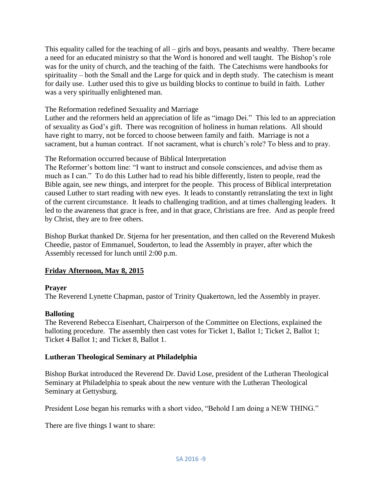This equality called for the teaching of all – girls and boys, peasants and wealthy. There became a need for an educated ministry so that the Word is honored and well taught. The Bishop's role was for the unity of church, and the teaching of the faith. The Catechisms were handbooks for spirituality – both the Small and the Large for quick and in depth study. The catechism is meant for daily use. Luther used this to give us building blocks to continue to build in faith. Luther was a very spiritually enlightened man.

#### The Reformation redefined Sexuality and Marriage

Luther and the reformers held an appreciation of life as "imago Dei." This led to an appreciation of sexuality as God's gift. There was recognition of holiness in human relations. All should have right to marry, not be forced to choose between family and faith. Marriage is not a sacrament, but a human contract. If not sacrament, what is church's role? To bless and to pray.

#### The Reformation occurred because of Biblical Interpretation

The Reformer's bottom line: "I want to instruct and console consciences, and advise them as much as I can." To do this Luther had to read his bible differently, listen to people, read the Bible again, see new things, and interpret for the people. This process of Biblical interpretation caused Luther to start reading with new eyes. It leads to constantly retranslating the text in light of the current circumstance. It leads to challenging tradition, and at times challenging leaders. It led to the awareness that grace is free, and in that grace, Christians are free. And as people freed by Christ, they are to free others.

Bishop Burkat thanked Dr. Stjerna for her presentation, and then called on the Reverend Mukesh Cheedie, pastor of Emmanuel, Souderton, to lead the Assembly in prayer, after which the Assembly recessed for lunch until 2:00 p.m.

#### **Friday Afternoon, May 8, 2015**

#### **Prayer**

The Reverend Lynette Chapman, pastor of Trinity Quakertown, led the Assembly in prayer.

#### **Balloting**

The Reverend Rebecca Eisenhart, Chairperson of the Committee on Elections, explained the balloting procedure. The assembly then cast votes for Ticket 1, Ballot 1; Ticket 2, Ballot 1; Ticket 4 Ballot 1; and Ticket 8, Ballot 1.

#### **Lutheran Theological Seminary at Philadelphia**

Bishop Burkat introduced the Reverend Dr. David Lose, president of the Lutheran Theological Seminary at Philadelphia to speak about the new venture with the Lutheran Theological Seminary at Gettysburg.

President Lose began his remarks with a short video, "Behold I am doing a NEW THING."

There are five things I want to share: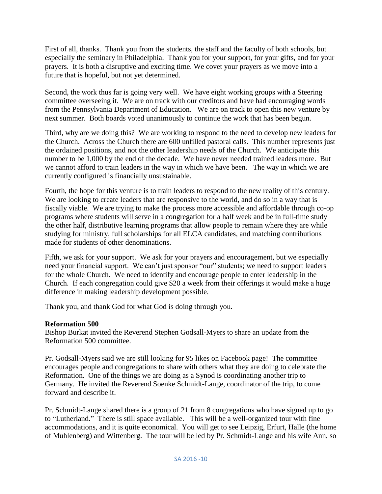First of all, thanks. Thank you from the students, the staff and the faculty of both schools, but especially the seminary in Philadelphia. Thank you for your support, for your gifts, and for your prayers. It is both a disruptive and exciting time. We covet your prayers as we move into a future that is hopeful, but not yet determined.

Second, the work thus far is going very well. We have eight working groups with a Steering committee overseeing it. We are on track with our creditors and have had encouraging words from the Pennsylvania Department of Education. We are on track to open this new venture by next summer. Both boards voted unanimously to continue the work that has been begun.

Third, why are we doing this? We are working to respond to the need to develop new leaders for the Church. Across the Church there are 600 unfilled pastoral calls. This number represents just the ordained positions, and not the other leadership needs of the Church. We anticipate this number to be 1,000 by the end of the decade. We have never needed trained leaders more. But we cannot afford to train leaders in the way in which we have been. The way in which we are currently configured is financially unsustainable.

Fourth, the hope for this venture is to train leaders to respond to the new reality of this century. We are looking to create leaders that are responsive to the world, and do so in a way that is fiscally viable. We are trying to make the process more accessible and affordable through co-op programs where students will serve in a congregation for a half week and be in full-time study the other half, distributive learning programs that allow people to remain where they are while studying for ministry, full scholarships for all ELCA candidates, and matching contributions made for students of other denominations.

Fifth, we ask for your support. We ask for your prayers and encouragement, but we especially need your financial support. We can't just sponsor "our" students; we need to support leaders for the whole Church. We need to identify and encourage people to enter leadership in the Church. If each congregation could give \$20 a week from their offerings it would make a huge difference in making leadership development possible.

Thank you, and thank God for what God is doing through you.

#### **Reformation 500**

Bishop Burkat invited the Reverend Stephen Godsall-Myers to share an update from the Reformation 500 committee.

Pr. Godsall-Myers said we are still looking for 95 likes on Facebook page! The committee encourages people and congregations to share with others what they are doing to celebrate the Reformation. One of the things we are doing as a Synod is coordinating another trip to Germany. He invited the Reverend Soenke Schmidt-Lange, coordinator of the trip, to come forward and describe it.

Pr. Schmidt-Lange shared there is a group of 21 from 8 congregations who have signed up to go to "Lutherland." There is still space available. This will be a well-organized tour with fine accommodations, and it is quite economical. You will get to see Leipzig, Erfurt, Halle (the home of Muhlenberg) and Wittenberg. The tour will be led by Pr. Schmidt-Lange and his wife Ann, so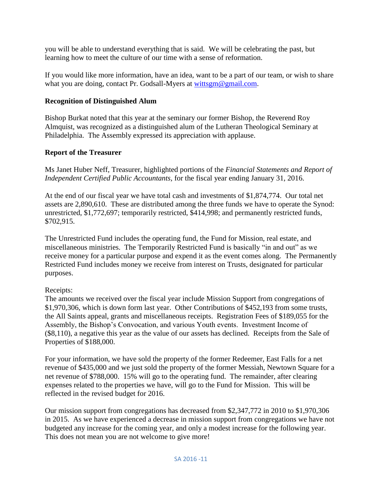you will be able to understand everything that is said. We will be celebrating the past, but learning how to meet the culture of our time with a sense of reformation.

If you would like more information, have an idea, want to be a part of our team, or wish to share what you are doing, contact Pr. Godsall-Myers at [wittsgm@gmail.com.](mailto:wittsgm@gmail.com)

## **Recognition of Distinguished Alum**

Bishop Burkat noted that this year at the seminary our former Bishop, the Reverend Roy Almquist, was recognized as a distinguished alum of the Lutheran Theological Seminary at Philadelphia. The Assembly expressed its appreciation with applause.

## **Report of the Treasurer**

Ms Janet Huber Neff, Treasurer, highlighted portions of the *Financial Statements and Report of Independent Certified Public Accountants,* for the fiscal year ending January 31, 2016.

At the end of our fiscal year we have total cash and investments of \$1,874,774. Our total net assets are 2,890,610. These are distributed among the three funds we have to operate the Synod: unrestricted, \$1,772,697; temporarily restricted, \$414,998; and permanently restricted funds, \$702,915.

The Unrestricted Fund includes the operating fund, the Fund for Mission, real estate, and miscellaneous ministries. The Temporarily Restricted Fund is basically "in and out" as we receive money for a particular purpose and expend it as the event comes along. The Permanently Restricted Fund includes money we receive from interest on Trusts, designated for particular purposes.

## Receipts:

The amounts we received over the fiscal year include Mission Support from congregations of \$1,970,306, which is down form last year. Other Contributions of \$452,193 from some trusts, the All Saints appeal, grants and miscellaneous receipts. Registration Fees of \$189,055 for the Assembly, the Bishop's Convocation, and various Youth events. Investment Income of (\$8,110), a negative this year as the value of our assets has declined. Receipts from the Sale of Properties of \$188,000.

For your information, we have sold the property of the former Redeemer, East Falls for a net revenue of \$435,000 and we just sold the property of the former Messiah, Newtown Square for a net revenue of \$788,000. 15% will go to the operating fund. The remainder, after clearing expenses related to the properties we have, will go to the Fund for Mission. This will be reflected in the revised budget for 2016.

Our mission support from congregations has decreased from \$2,347,772 in 2010 to \$1,970,306 in 2015. As we have experienced a decrease in mission support from congregations we have not budgeted any increase for the coming year, and only a modest increase for the following year. This does not mean you are not welcome to give more!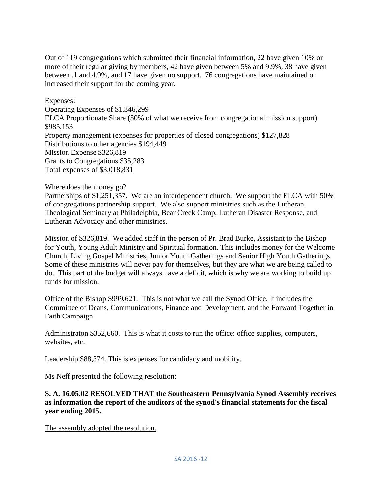Out of 119 congregations which submitted their financial information, 22 have given 10% or more of their regular giving by members, 42 have given between 5% and 9.9%, 38 have given between .1 and 4.9%, and 17 have given no support. 76 congregations have maintained or increased their support for the coming year.

Expenses: Operating Expenses of \$1,346,299 ELCA Proportionate Share (50% of what we receive from congregational mission support) \$985,153 Property management (expenses for properties of closed congregations) \$127,828 Distributions to other agencies \$194,449 Mission Expense \$326,819 Grants to Congregations \$35,283 Total expenses of \$3,018,831

#### Where does the money go?

Partnerships of \$1,251,357. We are an interdependent church. We support the ELCA with 50% of congregations partnership support. We also support ministries such as the Lutheran Theological Seminary at Philadelphia, Bear Creek Camp, Lutheran Disaster Response, and Lutheran Advocacy and other ministries.

Mission of \$326,819. We added staff in the person of Pr. Brad Burke, Assistant to the Bishop for Youth, Young Adult Ministry and Spiritual formation. This includes money for the Welcome Church, Living Gospel Ministries, Junior Youth Gatherings and Senior High Youth Gatherings. Some of these ministries will never pay for themselves, but they are what we are being called to do. This part of the budget will always have a deficit, which is why we are working to build up funds for mission.

Office of the Bishop \$999,621. This is not what we call the Synod Office. It includes the Committee of Deans, Communications, Finance and Development, and the Forward Together in Faith Campaign.

Administraton \$352,660. This is what it costs to run the office: office supplies, computers, websites, etc.

Leadership \$88,374. This is expenses for candidacy and mobility.

Ms Neff presented the following resolution:

#### **S. A. 16.05.02 RESOLVED THAT the Southeastern Pennsylvania Synod Assembly receives as information the report of the auditors of the synod's financial statements for the fiscal year ending 2015.**

The assembly adopted the resolution.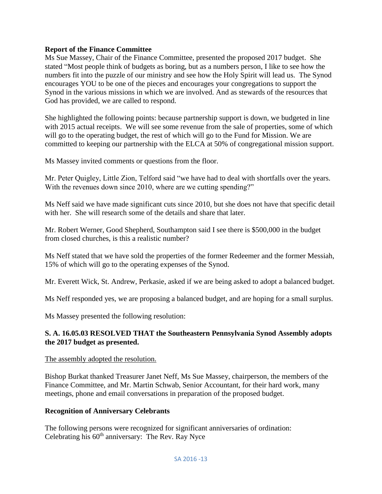#### **Report of the Finance Committee**

Ms Sue Massey, Chair of the Finance Committee, presented the proposed 2017 budget. She stated "Most people think of budgets as boring, but as a numbers person, I like to see how the numbers fit into the puzzle of our ministry and see how the Holy Spirit will lead us. The Synod encourages YOU to be one of the pieces and encourages your congregations to support the Synod in the various missions in which we are involved. And as stewards of the resources that God has provided, we are called to respond.

She highlighted the following points: because partnership support is down, we budgeted in line with 2015 actual receipts. We will see some revenue from the sale of properties, some of which will go to the operating budget, the rest of which will go to the Fund for Mission. We are committed to keeping our partnership with the ELCA at 50% of congregational mission support.

Ms Massey invited comments or questions from the floor.

Mr. Peter Quigley, Little Zion, Telford said "we have had to deal with shortfalls over the years. With the revenues down since 2010, where are we cutting spending?"

Ms Neff said we have made significant cuts since 2010, but she does not have that specific detail with her. She will research some of the details and share that later.

Mr. Robert Werner, Good Shepherd, Southampton said I see there is \$500,000 in the budget from closed churches, is this a realistic number?

Ms Neff stated that we have sold the properties of the former Redeemer and the former Messiah, 15% of which will go to the operating expenses of the Synod.

Mr. Everett Wick, St. Andrew, Perkasie, asked if we are being asked to adopt a balanced budget.

Ms Neff responded yes, we are proposing a balanced budget, and are hoping for a small surplus.

Ms Massey presented the following resolution:

#### **S. A. 16.05.03 RESOLVED THAT the Southeastern Pennsylvania Synod Assembly adopts the 2017 budget as presented.**

#### The assembly adopted the resolution.

Bishop Burkat thanked Treasurer Janet Neff, Ms Sue Massey, chairperson, the members of the Finance Committee, and Mr. Martin Schwab, Senior Accountant, for their hard work, many meetings, phone and email conversations in preparation of the proposed budget.

#### **Recognition of Anniversary Celebrants**

The following persons were recognized for significant anniversaries of ordination: Celebrating his  $60<sup>th</sup>$  anniversary: The Rev. Ray Nyce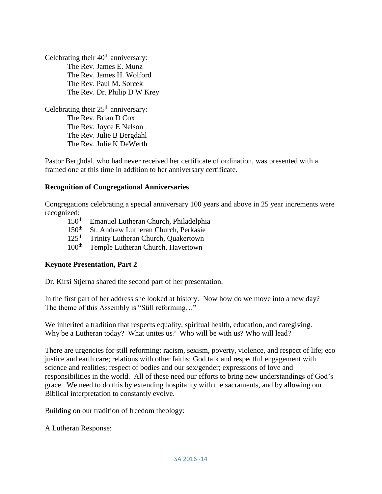Celebrating their  $40<sup>th</sup>$  anniversary: The Rev. James E. Munz The Rev. James H. Wolford The Rev. Paul M. Sorcek The Rev. Dr. Philip D W Krey

Celebrating their  $25<sup>th</sup>$  anniversary: The Rev. Brian D Cox The Rev. Joyce E Nelson The Rev. Julie B Bergdahl The Rev. Julie K DeWerth

Pastor Berghdal, who had never received her certificate of ordination, was presented with a framed one at this time in addition to her anniversary certificate.

#### **Recognition of Congregational Anniversaries**

Congregations celebrating a special anniversary 100 years and above in 25 year increments were recognized:<br> $150<sup>th</sup>$ 

- Emanuel Lutheran Church, Philadelphia
- 150<sup>th</sup> St. Andrew Lutheran Church, Perkasie
- 125<sup>th</sup> Trinity Lutheran Church, Quakertown
- 100<sup>th</sup> Temple Lutheran Church, Havertown

#### **Keynote Presentation, Part 2**

Dr. Kirsi Stjerna shared the second part of her presentation.

In the first part of her address she looked at history. Now how do we move into a new day? The theme of this Assembly is "Still reforming…"

We inherited a tradition that respects equality, spiritual health, education, and caregiving. Why be a Lutheran today? What unites us? Who will be with us? Who will lead?

There are urgencies for still reforming: racism, sexism, poverty, violence, and respect of life; eco justice and earth care; relations with other faiths; God talk and respectful engagement with science and realities; respect of bodies and our sex/gender; expressions of love and responsibilities in the world. All of these need our efforts to bring new understandings of God's grace. We need to do this by extending hospitality with the sacraments, and by allowing our Biblical interpretation to constantly evolve.

Building on our tradition of freedom theology:

A Lutheran Response: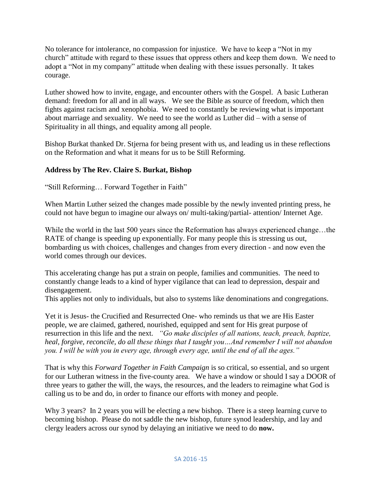No tolerance for intolerance, no compassion for injustice. We have to keep a "Not in my church" attitude with regard to these issues that oppress others and keep them down. We need to adopt a "Not in my company" attitude when dealing with these issues personally. It takes courage.

Luther showed how to invite, engage, and encounter others with the Gospel. A basic Lutheran demand: freedom for all and in all ways. We see the Bible as source of freedom, which then fights against racism and xenophobia. We need to constantly be reviewing what is important about marriage and sexuality. We need to see the world as Luther did – with a sense of Spirituality in all things, and equality among all people.

Bishop Burkat thanked Dr. Stjerna for being present with us, and leading us in these reflections on the Reformation and what it means for us to be Still Reforming.

#### **Address by The Rev. Claire S. Burkat, Bishop**

"Still Reforming… Forward Together in Faith"

When Martin Luther seized the changes made possible by the newly invented printing press, he could not have begun to imagine our always on/ multi-taking/partial- attention/ Internet Age.

While the world in the last 500 years since the Reformation has always experienced change...the RATE of change is speeding up exponentially. For many people this is stressing us out, bombarding us with choices, challenges and changes from every direction - and now even the world comes through our devices.

This accelerating change has put a strain on people, families and communities. The need to constantly change leads to a kind of hyper vigilance that can lead to depression, despair and disengagement.

This applies not only to individuals, but also to systems like denominations and congregations.

Yet it is Jesus- the Crucified and Resurrected One- who reminds us that we are His Easter people, we are claimed, gathered, nourished, equipped and sent for His great purpose of resurrection in this life and the next. *"Go make disciples of all nations, teach, preach, baptize, heal, forgive, reconcile, do all these things that I taught you…And remember I will not abandon you. I will be with you in every age, through every age, until the end of all the ages."* 

That is why this *Forward Together in Faith Campaign* is so critical, so essential, and so urgent for our Lutheran witness in the five-county area. We have a window or should I say a DOOR of three years to gather the will, the ways, the resources, and the leaders to reimagine what God is calling us to be and do, in order to finance our efforts with money and people.

Why 3 years? In 2 years you will be electing a new bishop. There is a steep learning curve to becoming bishop. Please do not saddle the new bishop, future synod leadership, and lay and clergy leaders across our synod by delaying an initiative we need to do **now.**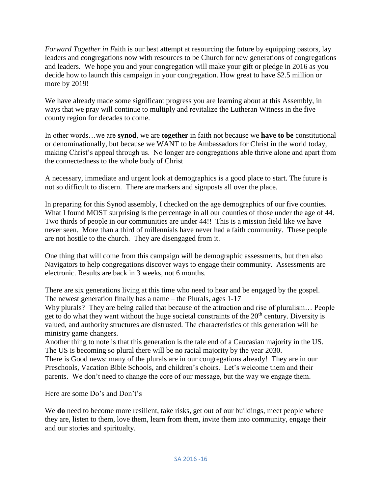*Forward Together in F*aith is our best attempt at resourcing the future by equipping pastors, lay leaders and congregations now with resources to be Church for new generations of congregations and leaders. We hope you and your congregation will make your gift or pledge in 2016 as you decide how to launch this campaign in your congregation. How great to have \$2.5 million or more by 2019!

We have already made some significant progress you are learning about at this Assembly, in ways that we pray will continue to multiply and revitalize the Lutheran Witness in the five county region for decades to come.

In other words…we are **synod**, we are **together** in faith not because we **have to be** constitutional or denominationally, but because we WANT to be Ambassadors for Christ in the world today, making Christ's appeal through us. No longer are congregations able thrive alone and apart from the connectedness to the whole body of Christ

A necessary, immediate and urgent look at demographics is a good place to start. The future is not so difficult to discern. There are markers and signposts all over the place.

In preparing for this Synod assembly, I checked on the age demographics of our five counties. What I found MOST surprising is the percentage in all our counties of those under the age of 44. Two thirds of people in our communities are under 44!! This is a mission field like we have never seen. More than a third of millennials have never had a faith community. These people are not hostile to the church. They are disengaged from it.

One thing that will come from this campaign will be demographic assessments, but then also Navigators to help congregations discover ways to engage their community. Assessments are electronic. Results are back in 3 weeks, not 6 months.

There are six generations living at this time who need to hear and be engaged by the gospel. The newest generation finally has a name – the Plurals, ages 1-17

Why plurals? They are being called that because of the attraction and rise of pluralism… People get to do what they want without the huge societal constraints of the  $20<sup>th</sup>$  century. Diversity is valued, and authority structures are distrusted. The characteristics of this generation will be ministry game changers.

Another thing to note is that this generation is the tale end of a Caucasian majority in the US. The US is becoming so plural there will be no racial majority by the year 2030.

There is Good news: many of the plurals are in our congregations already! They are in our Preschools, Vacation Bible Schools, and children's choirs. Let's welcome them and their parents. We don't need to change the core of our message, but the way we engage them.

Here are some Do's and Don't's

We **do** need to become more resilient, take risks, get out of our buildings, meet people where they are, listen to them, love them, learn from them, invite them into community, engage their and our stories and spiritualty.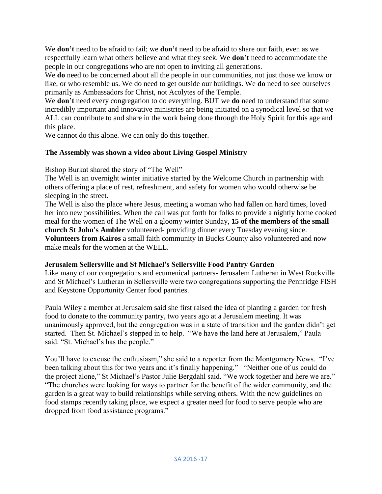We **don't** need to be afraid to fail; we **don't** need to be afraid to share our faith, even as we respectfully learn what others believe and what they seek. We **don't** need to accommodate the people in our congregations who are not open to inviting all generations.

We **do** need to be concerned about all the people in our communities, not just those we know or like, or who resemble us. We do need to get outside our buildings. We **do** need to see ourselves primarily as Ambassadors for Christ, not Acolytes of the Temple.

We **don't** need every congregation to do everything. BUT we **do** need to understand that some incredibly important and innovative ministries are being initiated on a synodical level so that we ALL can contribute to and share in the work being done through the Holy Spirit for this age and this place.

We cannot do this alone. We can only do this together.

#### **The Assembly was shown a video about Living Gospel Ministry**

Bishop Burkat shared the story of "The Well"

The Well is an overnight winter initiative started by the Welcome Church in partnership with others offering a place of rest, refreshment, and safety for women who would otherwise be sleeping in the street.

The Well is also the place where Jesus, meeting a woman who had fallen on hard times, loved her into new possibilities. When the call was put forth for folks to provide a nightly home cooked meal for the women of The Well on a gloomy winter Sunday, **15 of the members of the small church St John's Ambler** volunteered- providing dinner every Tuesday evening since. **Volunteers from Kairos** a small faith community in Bucks County also volunteered and now make meals for the women at the WELL.

#### **Jerusalem Sellersville and St Michael's Sellersville Food Pantry Garden**

Like many of our congregations and ecumenical partners- Jerusalem Lutheran in West Rockville and St Michael's Lutheran in Sellersville were two congregations supporting the Pennridge FISH and Keystone Opportunity Center food pantries.

Paula Wiley a member at Jerusalem said she first raised the idea of planting a garden for fresh food to donate to the community pantry, two years ago at a Jerusalem meeting. It was unanimously approved, but the congregation was in a state of transition and the garden didn't get started. Then St. Michael's stepped in to help. "We have the land here at Jerusalem," Paula said. "St. Michael's has the people."

You'll have to excuse the enthusiasm," she said to a reporter from the Montgomery News. "I've been talking about this for two years and it's finally happening." "Neither one of us could do the project alone," St Michael's Pastor Julie Bergdahl said. "We work together and here we are." "The churches were looking for ways to partner for the benefit of the wider community, and the garden is a great way to build relationships while serving others. With the new guidelines on food stamps recently taking place, we expect a greater need for food to serve people who are dropped from food assistance programs."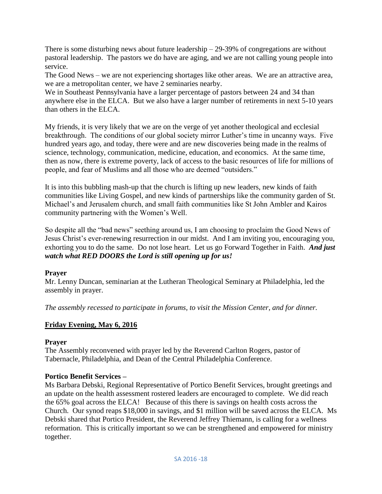There is some disturbing news about future leadership  $-29-39\%$  of congregations are without pastoral leadership. The pastors we do have are aging, and we are not calling young people into service.

The Good News – we are not experiencing shortages like other areas. We are an attractive area, we are a metropolitan center, we have 2 seminaries nearby.

We in Southeast Pennsylvania have a larger percentage of pastors between 24 and 34 than anywhere else in the ELCA. But we also have a larger number of retirements in next 5-10 years than others in the ELCA.

My friends, it is very likely that we are on the verge of yet another theological and ecclesial breakthrough. The conditions of our global society mirror Luther's time in uncanny ways. Five hundred years ago, and today, there were and are new discoveries being made in the realms of science, technology, communication, medicine, education, and economics. At the same time, then as now, there is extreme poverty, lack of access to the basic resources of life for millions of people, and fear of Muslims and all those who are deemed "outsiders."

It is into this bubbling mash-up that the church is lifting up new leaders, new kinds of faith communities like Living Gospel, and new kinds of partnerships like the community garden of St. Michael's and Jerusalem church, and small faith communities like St John Ambler and Kairos community partnering with the Women's Well.

So despite all the "bad news" seething around us, I am choosing to proclaim the Good News of Jesus Christ's ever-renewing resurrection in our midst. And I am inviting you, encouraging you, exhorting you to do the same. Do not lose heart. Let us go Forward Together in Faith. *And just watch what RED DOORS the Lord is still opening up for us!* 

#### **Prayer**

Mr. Lenny Duncan, seminarian at the Lutheran Theological Seminary at Philadelphia, led the assembly in prayer.

*The assembly recessed to participate in forums, to visit the Mission Center, and for dinner.*

## **Friday Evening, May 6, 2016**

## **Prayer**

The Assembly reconvened with prayer led by the Reverend Carlton Rogers, pastor of Tabernacle, Philadelphia, and Dean of the Central Philadelphia Conference.

## **Portico Benefit Services –**

Ms Barbara Debski, Regional Representative of Portico Benefit Services, brought greetings and an update on the health assessment rostered leaders are encouraged to complete. We did reach the 65% goal across the ELCA! Because of this there is savings on health costs across the Church. Our synod reaps \$18,000 in savings, and \$1 million will be saved across the ELCA. Ms Debski shared that Portico President, the Reverend Jeffrey Thiemann, is calling for a wellness reformation. This is critically important so we can be strengthened and empowered for ministry together.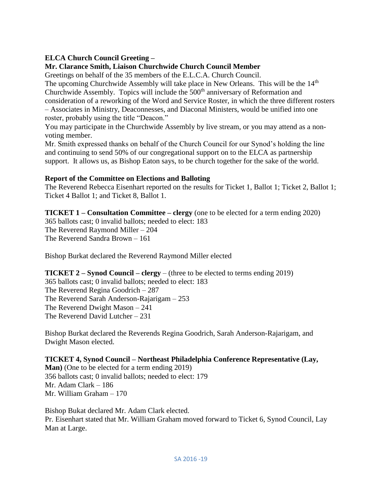## **ELCA Church Council Greeting –**

#### **Mr. Clarance Smith, Liaison Churchwide Church Council Member**

Greetings on behalf of the 35 members of the E.L.C.A. Church Council.

The upcoming Churchwide Assembly will take place in New Orleans. This will be the 14<sup>th</sup> Churchwide Assembly. Topics will include the  $500<sup>th</sup>$  anniversary of Reformation and

consideration of a reworking of the Word and Service Roster, in which the three different rosters – Associates in Ministry, Deaconnesses, and Diaconal Ministers, would be unified into one roster, probably using the title "Deacon."

You may participate in the Churchwide Assembly by live stream, or you may attend as a nonvoting member.

Mr. Smith expressed thanks on behalf of the Church Council for our Synod's holding the line and continuing to send 50% of our congregational support on to the ELCA as partnership support. It allows us, as Bishop Eaton says, to be church together for the sake of the world.

#### **Report of the Committee on Elections and Balloting**

The Reverend Rebecca Eisenhart reported on the results for Ticket 1, Ballot 1; Ticket 2, Ballot 1; Ticket 4 Ballot 1; and Ticket 8, Ballot 1.

**TICKET 1 – Consultation Committee – clergy** (one to be elected for a term ending 2020) 365 ballots cast; 0 invalid ballots; needed to elect: 183 The Reverend Raymond Miller – 204 The Reverend Sandra Brown – 161

Bishop Burkat declared the Reverend Raymond Miller elected

**TICKET 2 – Synod Council – clergy** – (three to be elected to terms ending 2019)

365 ballots cast; 0 invalid ballots; needed to elect: 183 The Reverend Regina Goodrich – 287 The Reverend Sarah Anderson-Rajarigam – 253 The Reverend Dwight Mason – 241 The Reverend David Lutcher – 231

Bishop Burkat declared the Reverends Regina Goodrich, Sarah Anderson-Rajarigam, and Dwight Mason elected.

#### **TICKET 4, Synod Council – Northeast Philadelphia Conference Representative (Lay,**

**Man)** (One to be elected for a term ending 2019) 356 ballots cast; 0 invalid ballots; needed to elect: 179 Mr. Adam Clark – 186 Mr. William Graham – 170

Bishop Bukat declared Mr. Adam Clark elected. Pr. Eisenhart stated that Mr. William Graham moved forward to Ticket 6, Synod Council, Lay Man at Large.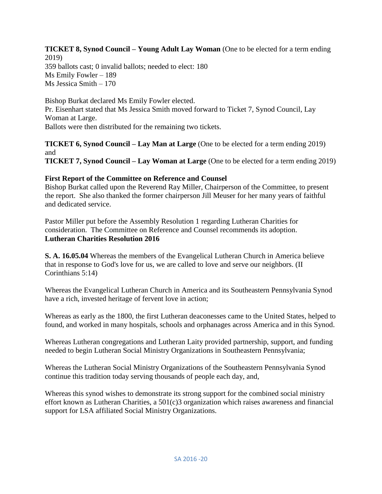**TICKET 8, Synod Council – Young Adult Lay Woman** (One to be elected for a term ending 2019) 359 ballots cast; 0 invalid ballots; needed to elect: 180 Ms Emily Fowler – 189 Ms Jessica Smith – 170

Bishop Burkat declared Ms Emily Fowler elected. Pr. Eisenhart stated that Ms Jessica Smith moved forward to Ticket 7, Synod Council, Lay Woman at Large. Ballots were then distributed for the remaining two tickets.

**TICKET 6, Synod Council – Lay Man at Large** (One to be elected for a term ending 2019) and

**TICKET 7, Synod Council – Lay Woman at Large** (One to be elected for a term ending 2019)

## **First Report of the Committee on Reference and Counsel**

Bishop Burkat called upon the Reverend Ray Miller, Chairperson of the Committee, to present the report. She also thanked the former chairperson Jill Meuser for her many years of faithful and dedicated service.

Pastor Miller put before the Assembly Resolution 1 regarding Lutheran Charities for consideration. The Committee on Reference and Counsel recommends its adoption. **Lutheran Charities Resolution 2016**

**S. A. 16.05.04** Whereas the members of the Evangelical Lutheran Church in America believe that in response to God's love for us, we are called to love and serve our neighbors. (II Corinthians 5:14)

Whereas the Evangelical Lutheran Church in America and its Southeastern Pennsylvania Synod have a rich, invested heritage of fervent love in action;

Whereas as early as the 1800, the first Lutheran deaconesses came to the United States, helped to found, and worked in many hospitals, schools and orphanages across America and in this Synod.

Whereas Lutheran congregations and Lutheran Laity provided partnership, support, and funding needed to begin Lutheran Social Ministry Organizations in Southeastern Pennsylvania;

Whereas the Lutheran Social Ministry Organizations of the Southeastern Pennsylvania Synod continue this tradition today serving thousands of people each day, and,

Whereas this synod wishes to demonstrate its strong support for the combined social ministry effort known as Lutheran Charities, a 501(c)3 organization which raises awareness and financial support for LSA affiliated Social Ministry Organizations.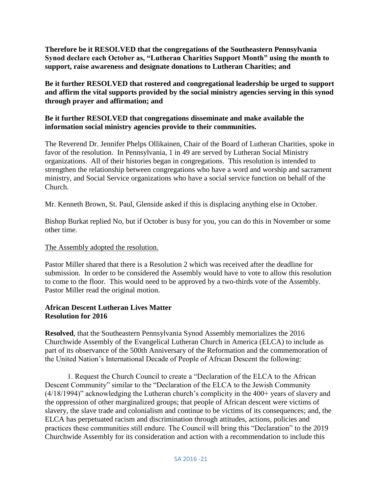**Therefore be it RESOLVED that the congregations of the Southeastern Pennsylvania Synod declare each October as, "Lutheran Charities Support Month" using the month to support, raise awareness and designate donations to Lutheran Charities; and**

**Be it further RESOLVED that rostered and congregational leadership be urged to support and affirm the vital supports provided by the social ministry agencies serving in this synod through prayer and affirmation; and**

#### **Be it further RESOLVED that congregations disseminate and make available the information social ministry agencies provide to their communities.**

The Reverend Dr. Jennifer Phelps Ollikainen, Chair of the Board of Lutheran Charities*,* spoke in favor of the resolution. In Pennsylvania, 1 in 49 are served by Lutheran Social Ministry organizations. All of their histories began in congregations. This resolution is intended to strengthen the relationship between congregations who have a word and worship and sacrament ministry, and Social Service organizations who have a social service function on behalf of the Church.

Mr. Kenneth Brown, St. Paul, Glenside asked if this is displacing anything else in October.

Bishop Burkat replied No, but if October is busy for you, you can do this in November or some other time.

#### The Assembly adopted the resolution.

Pastor Miller shared that there is a Resolution 2 which was received after the deadline for submission. In order to be considered the Assembly would have to vote to allow this resolution to come to the floor. This would need to be approved by a two-thirds vote of the Assembly. Pastor Miller read the original motion.

#### **African Descent Lutheran Lives Matter Resolution for 2016**

**Resolved**, that the Southeastern Pennsylvania Synod Assembly memorializes the 2016 Churchwide Assembly of the Evangelical Lutheran Church in America (ELCA) to include as part of its observance of the 500th Anniversary of the Reformation and the commemoration of the United Nation's International Decade of People of African Descent the following:

1. Request the Church Council to create a "Declaration of the ELCA to the African Descent Community" similar to the "Declaration of the ELCA to the Jewish Community (4/18/1994)" acknowledging the Lutheran church's complicity in the 400+ years of slavery and the oppression of other marginalized groups; that people of African descent were victims of slavery, the slave trade and colonialism and continue to be victims of its consequences; and, the ELCA has perpetuated racism and discrimination through attitudes, actions, policies and practices these communities still endure. The Council will bring this "Declaration" to the 2019 Churchwide Assembly for its consideration and action with a recommendation to include this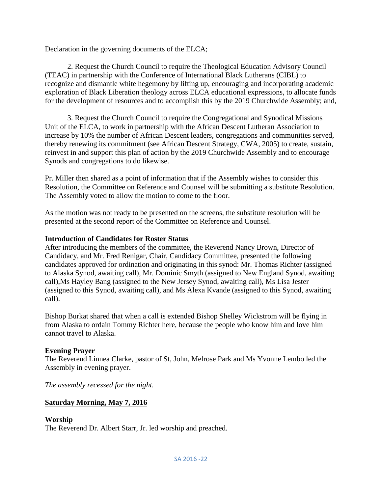Declaration in the governing documents of the ELCA;

2. Request the Church Council to require the Theological Education Advisory Council (TEAC) in partnership with the Conference of International Black Lutherans (CIBL) to recognize and dismantle white hegemony by lifting up, encouraging and incorporating academic exploration of Black Liberation theology across ELCA educational expressions, to allocate funds for the development of resources and to accomplish this by the 2019 Churchwide Assembly; and,

3. Request the Church Council to require the Congregational and Synodical Missions Unit of the ELCA, to work in partnership with the African Descent Lutheran Association to increase by 10% the number of African Descent leaders, congregations and communities served, thereby renewing its commitment (see African Descent Strategy, CWA, 2005) to create, sustain, reinvest in and support this plan of action by the 2019 Churchwide Assembly and to encourage Synods and congregations to do likewise.

Pr. Miller then shared as a point of information that if the Assembly wishes to consider this Resolution, the Committee on Reference and Counsel will be submitting a substitute Resolution. The Assembly voted to allow the motion to come to the floor.

As the motion was not ready to be presented on the screens, the substitute resolution will be presented at the second report of the Committee on Reference and Counsel.

#### **Introduction of Candidates for Roster Status**

After introducing the members of the committee, the Reverend Nancy Brown, Director of Candidacy, and Mr. Fred Renigar, Chair, Candidacy Committee, presented the following candidates approved for ordination and originating in this synod: Mr. Thomas Richter (assigned to Alaska Synod, awaiting call), Mr. Dominic Smyth (assigned to New England Synod, awaiting call),Ms Hayley Bang (assigned to the New Jersey Synod, awaiting call), Ms Lisa Jester (assigned to this Synod, awaiting call), and Ms Alexa Kvande (assigned to this Synod, awaiting call).

Bishop Burkat shared that when a call is extended Bishop Shelley Wickstrom will be flying in from Alaska to ordain Tommy Richter here, because the people who know him and love him cannot travel to Alaska.

#### **Evening Prayer**

The Reverend Linnea Clarke, pastor of St, John, Melrose Park and Ms Yvonne Lembo led the Assembly in evening prayer.

*The assembly recessed for the night.*

#### **Saturday Morning, May 7, 2016**

#### **Worship**

The Reverend Dr. Albert Starr, Jr. led worship and preached.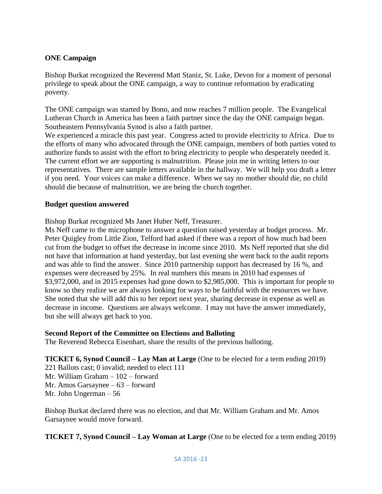#### **ONE Campaign**

Bishop Burkat recognized the Reverend Matt Staniz, St. Luke, Devon for a moment of personal privilege to speak about the ONE campaign, a way to continue reformation by eradicating poverty.

The ONE campaign was started by Bono, and now reaches 7 million people. The Evangelical Lutheran Church in America has been a faith partner since the day the ONE campaign began. Southeastern Pennsylvania Synod is also a faith partner.

We experienced a miracle this past year. Congress acted to provide electricity to Africa. Due to the efforts of many who advocated through the ONE campaign, members of both parties voted to authorize funds to assist with the effort to bring electricity to people who desperately needed it. The current effort we are supporting is malnutrition. Please join me in writing letters to our representatives. There are sample letters available in the hallway. We will help you draft a letter if you need. Your voices can make a difference. When we say no mother should die, no child should die because of malnutrition, we are being the church together.

#### **Budget question answered**

Bishop Burkat recognized Ms Janet Huber Neff, Treasurer.

Ms Neff came to the microphone to answer a question raised yesterday at budget process. Mr. Peter Quigley from Little Zion, Telford had asked if there was a report of how much had been cut from the budget to offset the decrease in income since 2010. Ms Neff reported that she did not have that information at hand yesterday, but last evening she went back to the audit reports and was able to find the answer. Since 2010 partnership support has decreased by 16 %, and expenses were decreased by 25%. In real numbers this means in 2010 had expenses of \$3,972,000, and in 2015 expenses had gone down to \$2,985,000. This is important for people to know so they realize we are always looking for ways to be faithful with the resources we have. She noted that she will add this to her report next year, sharing decrease in expense as well as decrease in income. Questions are always welcome. I may not have the answer immediately, but she will always get back to you.

#### **Second Report of the Committee on Elections and Balloting**

The Reverend Rebecca Eisenhart, share the results of the previous balloting.

**TICKET 6, Synod Council – Lay Man at Large** (One to be elected for a term ending 2019)

221 Ballots cast; 0 invalid; needed to elect 111 Mr. William Graham – 102 – forward Mr. Amos Garsaynee – 63 – forward

Mr. John Ungerman – 56

Bishop Burkat declared there was no election, and that Mr. William Graham and Mr. Amos Garsaynee would move forward.

**TICKET 7, Synod Council – Lay Woman at Large** (One to be elected for a term ending 2019)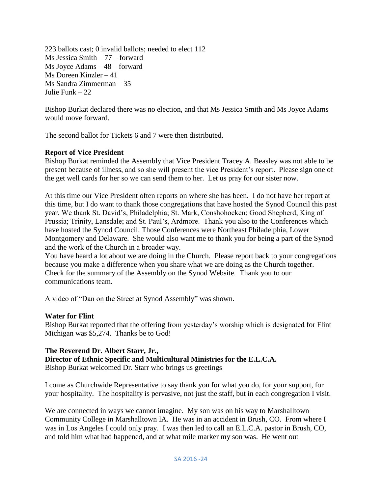223 ballots cast; 0 invalid ballots; needed to elect 112 Ms Jessica Smith – 77 – forward Ms Joyce Adams – 48 – forward Ms Doreen Kinzler – 41 Ms Sandra Zimmerman – 35 Julie Funk – 22

Bishop Burkat declared there was no election, and that Ms Jessica Smith and Ms Joyce Adams would move forward.

The second ballot for Tickets 6 and 7 were then distributed.

## **Report of Vice President**

Bishop Burkat reminded the Assembly that Vice President Tracey A. Beasley was not able to be present because of illness, and so she will present the vice President's report. Please sign one of the get well cards for her so we can send them to her. Let us pray for our sister now.

At this time our Vice President often reports on where she has been. I do not have her report at this time, but I do want to thank those congregations that have hosted the Synod Council this past year. We thank St. David's, Philadelphia; St. Mark, Conshohocken; Good Shepherd, King of Prussia; Trinity, Lansdale; and St. Paul's, Ardmore. Thank you also to the Conferences which have hosted the Synod Council. Those Conferences were Northeast Philadelphia, Lower Montgomery and Delaware. She would also want me to thank you for being a part of the Synod and the work of the Church in a broader way.

You have heard a lot about we are doing in the Church. Please report back to your congregations because you make a difference when you share what we are doing as the Church together. Check for the summary of the Assembly on the Synod Website. Thank you to our communications team.

A video of "Dan on the Street at Synod Assembly" was shown.

#### **Water for Flint**

Bishop Burkat reported that the offering from yesterday's worship which is designated for Flint Michigan was \$5,274. Thanks be to God!

#### **The Reverend Dr. Albert Starr, Jr.,**

## **Director of Ethnic Specific and Multicultural Ministries for the E.L.C.A.**

Bishop Burkat welcomed Dr. Starr who brings us greetings

I come as Churchwide Representative to say thank you for what you do, for your support, for your hospitality. The hospitality is pervasive, not just the staff, but in each congregation I visit.

We are connected in ways we cannot imagine. My son was on his way to Marshalltown Community College in Marshalltown IA. He was in an accident in Brush, CO. From where I was in Los Angeles I could only pray. I was then led to call an E.L.C.A. pastor in Brush, CO, and told him what had happened, and at what mile marker my son was. He went out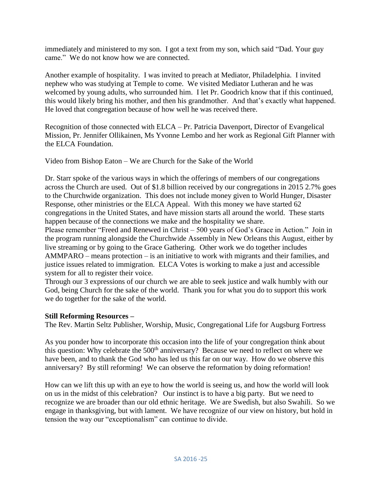immediately and ministered to my son. I got a text from my son, which said "Dad. Your guy came." We do not know how we are connected.

Another example of hospitality. I was invited to preach at Mediator, Philadelphia. I invited nephew who was studying at Temple to come. We visited Mediator Lutheran and he was welcomed by young adults, who surrounded him. I let Pr. Goodrich know that if this continued, this would likely bring his mother, and then his grandmother. And that's exactly what happened. He loved that congregation because of how well he was received there.

Recognition of those connected with ELCA – Pr. Patricia Davenport, Director of Evangelical Mission, Pr. Jennifer Ollikainen, Ms Yvonne Lembo and her work as Regional Gift Planner with the ELCA Foundation.

Video from Bishop Eaton – We are Church for the Sake of the World

Dr. Starr spoke of the various ways in which the offerings of members of our congregations across the Church are used. Out of \$1.8 billion received by our congregations in 2015 2.7% goes to the Churchwide organization. This does not include money given to World Hunger, Disaster Response, other ministries or the ELCA Appeal. With this money we have started 62 congregations in the United States, and have mission starts all around the world. These starts happen because of the connections we make and the hospitality we share.

Please remember "Freed and Renewed in Christ – 500 years of God's Grace in Action." Join in the program running alongside the Churchwide Assembly in New Orleans this August, either by live streaming or by going to the Grace Gathering. Other work we do together includes AMMPARO – means protection – is an initiative to work with migrants and their families, and justice issues related to immigration. ELCA Votes is working to make a just and accessible system for all to register their voice.

Through our 3 expressions of our church we are able to seek justice and walk humbly with our God, being Church for the sake of the world. Thank you for what you do to support this work we do together for the sake of the world.

#### **Still Reforming Resources –**

The Rev. Martin Seltz Publisher, Worship, Music, Congregational Life for Augsburg Fortress

As you ponder how to incorporate this occasion into the life of your congregation think about this question: Why celebrate the 500<sup>th</sup> anniversary? Because we need to reflect on where we have been, and to thank the God who has led us this far on our way. How do we observe this anniversary? By still reforming! We can observe the reformation by doing reformation!

How can we lift this up with an eye to how the world is seeing us, and how the world will look on us in the midst of this celebration? Our instinct is to have a big party. But we need to recognize we are broader than our old ethnic heritage. We are Swedish, but also Swahili. So we engage in thanksgiving, but with lament. We have recognize of our view on history, but hold in tension the way our "exceptionalism" can continue to divide.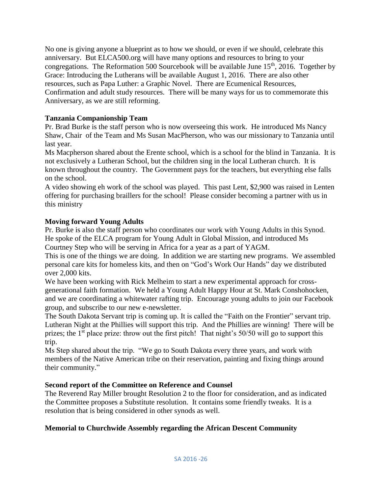No one is giving anyone a blueprint as to how we should, or even if we should, celebrate this anniversary. But ELCA500.org will have many options and resources to bring to your congregations. The Reformation 500 Sourcebook will be available June  $15<sup>th</sup>$ , 2016. Together by Grace: Introducing the Lutherans will be available August 1, 2016. There are also other resources, such as Papa Luther: a Graphic Novel. There are Ecumenical Resources, Confirmation and adult study resources. There will be many ways for us to commemorate this Anniversary, as we are still reforming.

## **Tanzania Companionship Team**

Pr. Brad Burke is the staff person who is now overseeing this work. He introduced Ms Nancy Shaw, Chair of the Team and Ms Susan MacPherson, who was our missionary to Tanzania until last year.

Ms Macpherson shared about the Erente school, which is a school for the blind in Tanzania. It is not exclusively a Lutheran School, but the children sing in the local Lutheran church. It is known throughout the country. The Government pays for the teachers, but everything else falls on the school.

A video showing eh work of the school was played. This past Lent, \$2,900 was raised in Lenten offering for purchasing braillers for the school! Please consider becoming a partner with us in this ministry

## **Moving forward Young Adults**

Pr. Burke is also the staff person who coordinates our work with Young Adults in this Synod. He spoke of the ELCA program for Young Adult in Global Mission, and introduced Ms Courtney Step who will be serving in Africa for a year as a part of YAGM.

This is one of the things we are doing. In addition we are starting new programs. We assembled personal care kits for homeless kits, and then on "God's Work Our Hands" day we distributed over 2,000 kits.

We have been working with Rick Melheim to start a new experimental approach for crossgenerational faith formation. We held a Young Adult Happy Hour at St. Mark Conshohocken, and we are coordinating a whitewater rafting trip. Encourage young adults to join our Facebook group, and subscribe to our new e-newsletter.

The South Dakota Servant trip is coming up. It is called the "Faith on the Frontier" servant trip. Lutheran Night at the Phillies will support this trip. And the Phillies are winning! There will be prizes; the 1<sup>st</sup> place prize: throw out the first pitch! That night's 50/50 will go to support this trip.

Ms Step shared about the trip. "We go to South Dakota every three years, and work with members of the Native American tribe on their reservation, painting and fixing things around their community."

#### **Second report of the Committee on Reference and Counsel**

The Reverend Ray Miller brought Resolution 2 to the floor for consideration, and as indicated the Committee proposes a Substitute resolution. It contains some friendly tweaks. It is a resolution that is being considered in other synods as well.

#### **Memorial to Churchwide Assembly regarding the African Descent Community**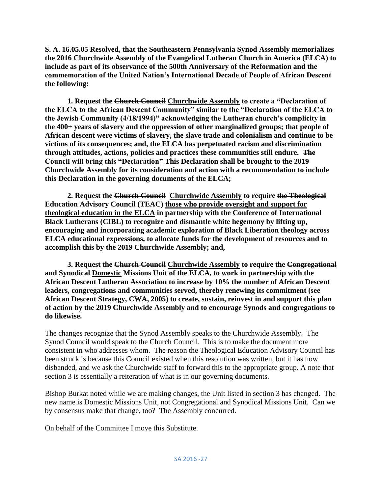**S. A. 16.05.05 Resolved, that the Southeastern Pennsylvania Synod Assembly memorializes the 2016 Churchwide Assembly of the Evangelical Lutheran Church in America (ELCA) to include as part of its observance of the 500th Anniversary of the Reformation and the commemoration of the United Nation's International Decade of People of African Descent the following:**

**1. Request the Church Council Churchwide Assembly to create a "Declaration of the ELCA to the African Descent Community" similar to the "Declaration of the ELCA to the Jewish Community (4/18/1994)" acknowledging the Lutheran church's complicity in the 400+ years of slavery and the oppression of other marginalized groups; that people of African descent were victims of slavery, the slave trade and colonialism and continue to be victims of its consequences; and, the ELCA has perpetuated racism and discrimination through attitudes, actions, policies and practices these communities still endure. The Council will bring this "Declaration" This Declaration shall be brought to the 2019 Churchwide Assembly for its consideration and action with a recommendation to include this Declaration in the governing documents of the ELCA;** 

**2. Request the Church Council Churchwide Assembly to require the Theological Education Advisory Council (TEAC) those who provide oversight and support for theological education in the ELCA in partnership with the Conference of International Black Lutherans (CIBL) to recognize and dismantle white hegemony by lifting up, encouraging and incorporating academic exploration of Black Liberation theology across ELCA educational expressions, to allocate funds for the development of resources and to accomplish this by the 2019 Churchwide Assembly; and,**

**3. Request the Church Council Churchwide Assembly to require the Congregational and Synodical Domestic Missions Unit of the ELCA, to work in partnership with the African Descent Lutheran Association to increase by 10% the number of African Descent leaders, congregations and communities served, thereby renewing its commitment (see African Descent Strategy, CWA, 2005) to create, sustain, reinvest in and support this plan of action by the 2019 Churchwide Assembly and to encourage Synods and congregations to do likewise.** 

The changes recognize that the Synod Assembly speaks to the Churchwide Assembly. The Synod Council would speak to the Church Council. This is to make the document more consistent in who addresses whom. The reason the Theological Education Advisory Council has been struck is because this Council existed when this resolution was written, but it has now disbanded, and we ask the Churchwide staff to forward this to the appropriate group. A note that section 3 is essentially a reiteration of what is in our governing documents.

Bishop Burkat noted while we are making changes, the Unit listed in section 3 has changed. The new name is Domestic Missions Unit, not Congregational and Synodical Missions Unit. Can we by consensus make that change, too? The Assembly concurred.

On behalf of the Committee I move this Substitute.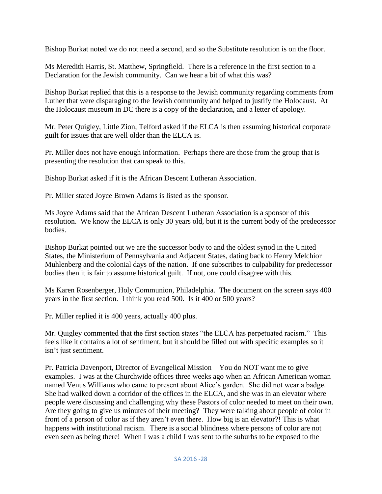Bishop Burkat noted we do not need a second, and so the Substitute resolution is on the floor.

Ms Meredith Harris, St. Matthew, Springfield. There is a reference in the first section to a Declaration for the Jewish community. Can we hear a bit of what this was?

Bishop Burkat replied that this is a response to the Jewish community regarding comments from Luther that were disparaging to the Jewish community and helped to justify the Holocaust. At the Holocaust museum in DC there is a copy of the declaration, and a letter of apology.

Mr. Peter Quigley, Little Zion, Telford asked if the ELCA is then assuming historical corporate guilt for issues that are well older than the ELCA is.

Pr. Miller does not have enough information. Perhaps there are those from the group that is presenting the resolution that can speak to this.

Bishop Burkat asked if it is the African Descent Lutheran Association.

Pr. Miller stated Joyce Brown Adams is listed as the sponsor.

Ms Joyce Adams said that the African Descent Lutheran Association is a sponsor of this resolution. We know the ELCA is only 30 years old, but it is the current body of the predecessor bodies.

Bishop Burkat pointed out we are the successor body to and the oldest synod in the United States, the Ministerium of Pennsylvania and Adjacent States, dating back to Henry Melchior Muhlenberg and the colonial days of the nation. If one subscribes to culpability for predecessor bodies then it is fair to assume historical guilt. If not, one could disagree with this.

Ms Karen Rosenberger, Holy Communion, Philadelphia. The document on the screen says 400 years in the first section. I think you read 500. Is it 400 or 500 years?

Pr. Miller replied it is 400 years, actually 400 plus.

Mr. Quigley commented that the first section states "the ELCA has perpetuated racism." This feels like it contains a lot of sentiment, but it should be filled out with specific examples so it isn't just sentiment.

Pr. Patricia Davenport, Director of Evangelical Mission – You do NOT want me to give examples. I was at the Churchwide offices three weeks ago when an African American woman named Venus Williams who came to present about Alice's garden. She did not wear a badge. She had walked down a corridor of the offices in the ELCA, and she was in an elevator where people were discussing and challenging why these Pastors of color needed to meet on their own. Are they going to give us minutes of their meeting? They were talking about people of color in front of a person of color as if they aren't even there. How big is an elevator?! This is what happens with institutional racism. There is a social blindness where persons of color are not even seen as being there! When I was a child I was sent to the suburbs to be exposed to the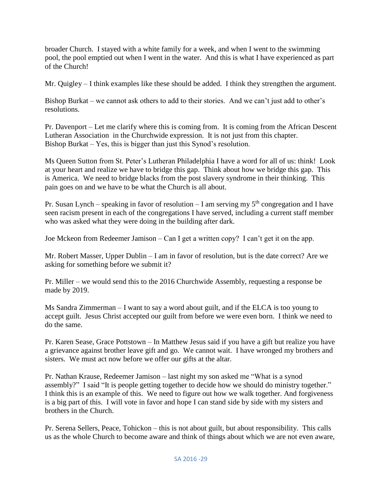broader Church. I stayed with a white family for a week, and when I went to the swimming pool, the pool emptied out when I went in the water. And this is what I have experienced as part of the Church!

Mr. Quigley – I think examples like these should be added. I think they strengthen the argument.

Bishop Burkat – we cannot ask others to add to their stories. And we can't just add to other's resolutions.

Pr. Davenport – Let me clarify where this is coming from. It is coming from the African Descent Lutheran Association in the Churchwide expression. It is not just from this chapter. Bishop Burkat – Yes, this is bigger than just this Synod's resolution.

Ms Queen Sutton from St. Peter's Lutheran Philadelphia I have a word for all of us: think! Look at your heart and realize we have to bridge this gap. Think about how we bridge this gap. This is America. We need to bridge blacks from the post slavery syndrome in their thinking. This pain goes on and we have to be what the Church is all about.

Pr. Susan Lynch – speaking in favor of resolution – I am serving my  $5<sup>th</sup>$  congregation and I have seen racism present in each of the congregations I have served, including a current staff member who was asked what they were doing in the building after dark.

Joe Mckeon from Redeemer Jamison – Can I get a written copy? I can't get it on the app.

Mr. Robert Masser, Upper Dublin – I am in favor of resolution, but is the date correct? Are we asking for something before we submit it?

Pr. Miller – we would send this to the 2016 Churchwide Assembly, requesting a response be made by 2019.

Ms Sandra Zimmerman – I want to say a word about guilt, and if the ELCA is too young to accept guilt. Jesus Christ accepted our guilt from before we were even born. I think we need to do the same.

Pr. Karen Sease, Grace Pottstown – In Matthew Jesus said if you have a gift but realize you have a grievance against brother leave gift and go. We cannot wait. I have wronged my brothers and sisters. We must act now before we offer our gifts at the altar.

Pr. Nathan Krause, Redeemer Jamison – last night my son asked me "What is a synod assembly?" I said "It is people getting together to decide how we should do ministry together." I think this is an example of this. We need to figure out how we walk together. And forgiveness is a big part of this. I will vote in favor and hope I can stand side by side with my sisters and brothers in the Church.

Pr. Serena Sellers, Peace, Tohickon – this is not about guilt, but about responsibility. This calls us as the whole Church to become aware and think of things about which we are not even aware,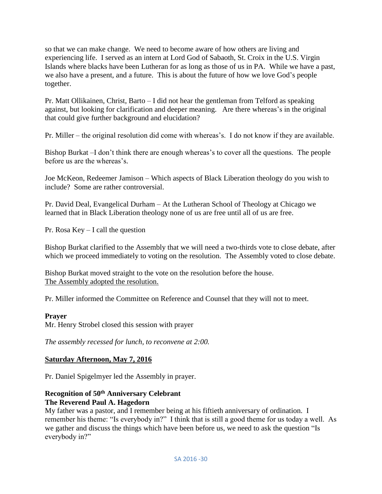so that we can make change. We need to become aware of how others are living and experiencing life. I served as an intern at Lord God of Sabaoth, St. Croix in the U.S. Virgin Islands where blacks have been Lutheran for as long as those of us in PA. While we have a past, we also have a present, and a future. This is about the future of how we love God's people together.

Pr. Matt Ollikainen, Christ, Barto – I did not hear the gentleman from Telford as speaking against, but looking for clarification and deeper meaning. Are there whereas's in the original that could give further background and elucidation?

Pr. Miller – the original resolution did come with whereas's. I do not know if they are available.

Bishop Burkat –I don't think there are enough whereas's to cover all the questions. The people before us are the whereas's.

Joe McKeon, Redeemer Jamison – Which aspects of Black Liberation theology do you wish to include? Some are rather controversial.

Pr. David Deal, Evangelical Durham – At the Lutheran School of Theology at Chicago we learned that in Black Liberation theology none of us are free until all of us are free.

Pr. Rosa Key – I call the question

Bishop Burkat clarified to the Assembly that we will need a two-thirds vote to close debate, after which we proceed immediately to voting on the resolution. The Assembly voted to close debate.

Bishop Burkat moved straight to the vote on the resolution before the house. The Assembly adopted the resolution.

Pr. Miller informed the Committee on Reference and Counsel that they will not to meet.

#### **Prayer**

Mr. Henry Strobel closed this session with prayer

*The assembly recessed for lunch, to reconvene at 2:00.*

## **Saturday Afternoon, May 7, 2016**

Pr. Daniel Spigelmyer led the Assembly in prayer.

#### **Recognition of 50th Anniversary Celebrant The Reverend Paul A. Hagedorn**

My father was a pastor, and I remember being at his fiftieth anniversary of ordination. I remember his theme: "Is everybody in?" I think that is still a good theme for us today a well. As we gather and discuss the things which have been before us, we need to ask the question "Is everybody in?"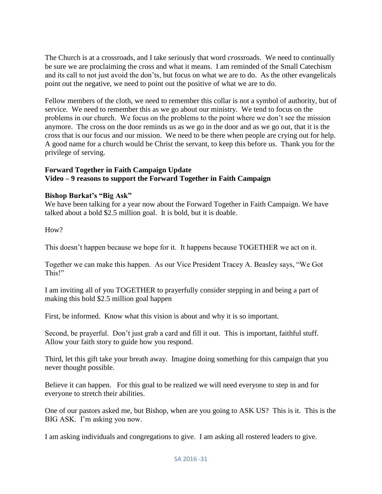The Church is at a crossroads, and I take seriously that word *cross*roads. We need to continually be sure we are proclaiming the cross and what it means. I am reminded of the Small Catechism and its call to not just avoid the don'ts, but focus on what we are to do. As the other evangelicals point out the negative, we need to point out the positive of what we are to do.

Fellow members of the cloth, we need to remember this collar is not a symbol of authority, but of service. We need to remember this as we go about our ministry. We tend to focus on the problems in our church. We focus on the problems to the point where we don't see the mission anymore. The cross on the door reminds us as we go in the door and as we go out, that it is the cross that is our focus and our mission. We need to be there when people are crying out for help. A good name for a church would be Christ the servant, to keep this before us. Thank you for the privilege of serving.

## **Forward Together in Faith Campaign Update Video – 9 reasons to support the Forward Together in Faith Campaign**

#### **Bishop Burkat's "Big Ask"**

We have been talking for a year now about the Forward Together in Faith Campaign. We have talked about a bold \$2.5 million goal. It is bold, but it is doable.

How?

This doesn't happen because we hope for it. It happens because TOGETHER we act on it.

Together we can make this happen. As our Vice President Tracey A. Beasley says, "We Got This!"

I am inviting all of you TOGETHER to prayerfully consider stepping in and being a part of making this bold \$2.5 million goal happen

First, be informed. Know what this vision is about and why it is so important.

Second, be prayerful. Don't just grab a card and fill it out. This is important, faithful stuff. Allow your faith story to guide how you respond.

Third, let this gift take your breath away. Imagine doing something for this campaign that you never thought possible.

Believe it can happen. For this goal to be realized we will need everyone to step in and for everyone to stretch their abilities.

One of our pastors asked me, but Bishop, when are you going to ASK US? This is it. This is the BIG ASK. I'm asking you now.

I am asking individuals and congregations to give. I am asking all rostered leaders to give.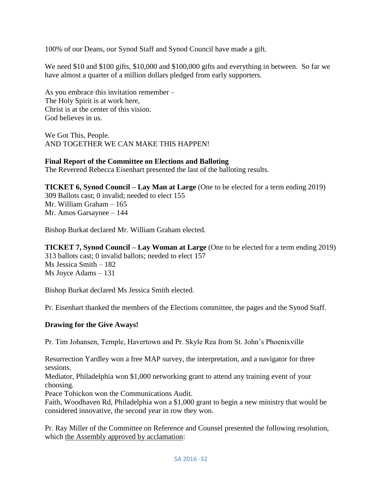100% of our Deans, our Synod Staff and Synod Council have made a gift.

We need \$10 and \$100 gifts, \$10,000 and \$100,000 gifts and everything in between. So far we have almost a quarter of a million dollars pledged from early supporters.

As you embrace this invitation remember – The Holy Spirit is at work here, Christ is at the center of this vision. God believes in us.

We Got This, People. AND TOGETHER WE CAN MAKE THIS HAPPEN!

#### **Final Report of the Committee on Elections and Balloting**

The Reverend Rebecca Eisenhart presented the last of the balloting results.

**TICKET 6, Synod Council – Lay Man at Large** (One to be elected for a term ending 2019) 309 Ballots cast; 0 invalid; needed to elect 155 Mr. William Graham – 165 Mr. Amos Garsaynee – 144

Bishop Burkat declared Mr. William Graham elected.

**TICKET 7, Synod Council – Lay Woman at Large** (One to be elected for a term ending 2019) 313 ballots cast; 0 invalid ballots; needed to elect 157 Ms Jessica Smith – 182 Ms Joyce Adams – 131

Bishop Burkat declared Ms Jessica Smith elected.

Pr. Eisenhart thanked the members of the Elections committee, the pages and the Synod Staff.

#### **Drawing for the Give Aways!**

Pr. Tim Johansen, Temple, Havertown and Pr. Skyle Rea from St. John's Phoenixville

Resurrection Yardley won a free MAP survey, the interpretation, and a navigator for three sessions.

Mediator, Philadelphia won \$1,000 networking grant to attend any training event of your choosing.

Peace Tohickon won the Communications Audit.

Faith, Woodhaven Rd, Philadelphia won a \$1,000 grant to begin a new ministry that would be considered innovative, the second year in row they won.

Pr. Ray Miller of the Committee on Reference and Counsel presented the following resolution, which the Assembly approved by acclamation: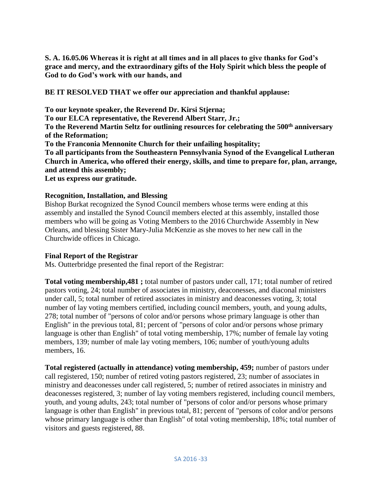**S. A. 16.05.06 Whereas it is right at all times and in all places to give thanks for God's grace and mercy, and the extraordinary gifts of the Holy Spirit which bless the people of God to do God's work with our hands, and** 

**BE IT RESOLVED THAT we offer our appreciation and thankful applause:**

**To our keynote speaker, the Reverend Dr. Kirsi Stjerna; To our ELCA representative, the Reverend Albert Starr, Jr.; To the Reverend Martin Seltz for outlining resources for celebrating the 500th anniversary of the Reformation; To the Franconia Mennonite Church for their unfailing hospitality; To all participants from the Southeastern Pennsylvania Synod of the Evangelical Lutheran Church in America, who offered their energy, skills, and time to prepare for, plan, arrange, and attend this assembly;**

**Let us express our gratitude.**

#### **Recognition, Installation, and Blessing**

Bishop Burkat recognized the Synod Council members whose terms were ending at this assembly and installed the Synod Council members elected at this assembly, installed those members who will be going as Voting Members to the 2016 Churchwide Assembly in New Orleans, and blessing Sister Mary-Julia McKenzie as she moves to her new call in the Churchwide offices in Chicago.

#### **Final Report of the Registrar**

Ms. Outterbridge presented the final report of the Registrar:

**Total voting membership,481 ;** total number of pastors under call, 171; total number of retired pastors voting, 24; total number of associates in ministry, deaconesses, and diaconal ministers under call, 5; total number of retired associates in ministry and deaconesses voting, 3; total number of lay voting members certified, including council members, youth, and young adults, 278; total number of "persons of color and/or persons whose primary language is other than English" in the previous total, 81; percent of "persons of color and/or persons whose primary language is other than English" of total voting membership, 17%; number of female lay voting members, 139; number of male lay voting members, 106; number of youth/young adults members, 16.

**Total registered (actually in attendance) voting membership, 459;** number of pastors under call registered, 150; number of retired voting pastors registered, 23; number of associates in ministry and deaconesses under call registered, 5; number of retired associates in ministry and deaconesses registered, 3; number of lay voting members registered, including council members, youth, and young adults, 243; total number of "persons of color and/or persons whose primary language is other than English" in previous total, 81; percent of "persons of color and/or persons whose primary language is other than English" of total voting membership, 18%; total number of visitors and guests registered, 88.